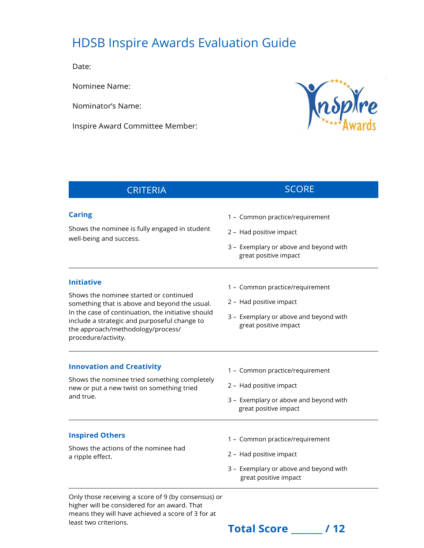## HDSB Inspire Awards Evaluation Guide

Date:

Nominee Name:

Nominator's Name:

Inspire Award Committee Member:



## **CRITERIA** SCORE

## **Caring**

Shows the nominee is fully engaged in student well-being and success.

1 – Common practice/requirement

- 2 Had positive impact
- 3 Exemplary or above and beyond with great positive impact

## **Initiative**

Shows the nominee started or continued something that is above and beyond the usual. In the case of continuation, the initiative should include a strategic and purposeful change to the approach/methodology/process/ procedure/activity.

- 1 Common practice/requirement
- 2 Had positive impact
- 3 Exemplary or above and beyond with great positive impact

## **Innovation and Creativity**

Shows the nominee tried something completely new or put a new twist on something tried and true.

- 1 Common practice/requirement
- 2 Had positive impact
- 3 Exemplary or above and beyond with great positive impact

#### **Inspired Others**

Shows the actions of the nominee had a ripple effect.

- 1 Common practice/requirement
- 2 Had positive impact
- 3 Exemplary or above and beyond with great positive impact

Only those receiving a score of 9 (by consensus) or higher will be considered for an award. That means they will have achieved a score of 3 for at

# least two criterions.<br> **Total Score / 12**